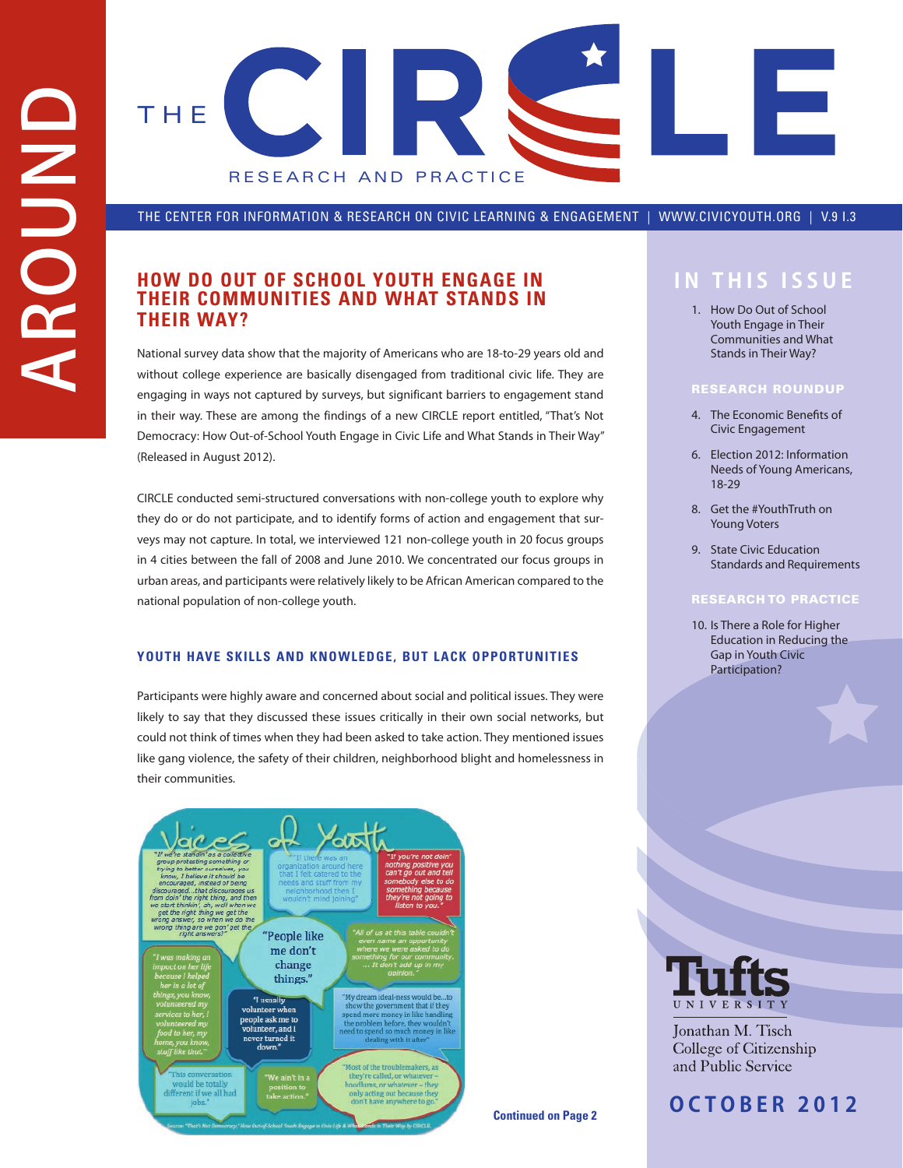

The Center for Information & Research on Civic Learning & Engagement | www.civicyouth.org | v.9 i.3

# **How do Out of School Youth Engage in in this issue their Communities and What Stands in Their Way?**

National survey data show that the majority of Americans who are 18-to-29 years old and without college experience are basically disengaged from traditional civic life. They are engaging in ways not captured by surveys, but significant barriers to engagement stand in their way. These are among the findings of a new CIRCLE report entitled, "That's Not Democracy: How Out-of-School Youth Engage in Civic Life and What Stands in Their Way" (Released in August 2012).

CIRCLE conducted semi-structured conversations with non-college youth to explore why they do or do not participate, and to identify forms of action and engagement that surveys may not capture. In total, we interviewed 121 non-college youth in 20 focus groups in 4 cities between the fall of 2008 and June 2010. We concentrated our focus groups in urban areas, and participants were relatively likely to be African American compared to the national population of non-college youth.

## **Youth have Skills and Knowledge, but Lack Opportunities**

Participants were highly aware and concerned about social and political issues. They were likely to say that they discussed these issues critically in their own social networks, but could not think of times when they had been asked to take action. They mentioned issues like gang violence, the safety of their children, neighborhood blight and homelessness in their communities.



1. How Do Out of School Youth Engage in Their Communities and What Stands in Their Way?

- 4. The Economic Benefits of Civic Engagement
- 6. Election 2012: Information Needs of Young Americans, 18-29
- 8. Get the #YouthTruth on Young Voters
- 9. State Civic Education Standards and Requirements

10. Is There a Role for Higher Education in Reducing the Gap in Youth Civic Participation?



Jonathan M. Tisch College of Citizenship and Public Service

**Oct o ber 2012**

**Continued on Page 2**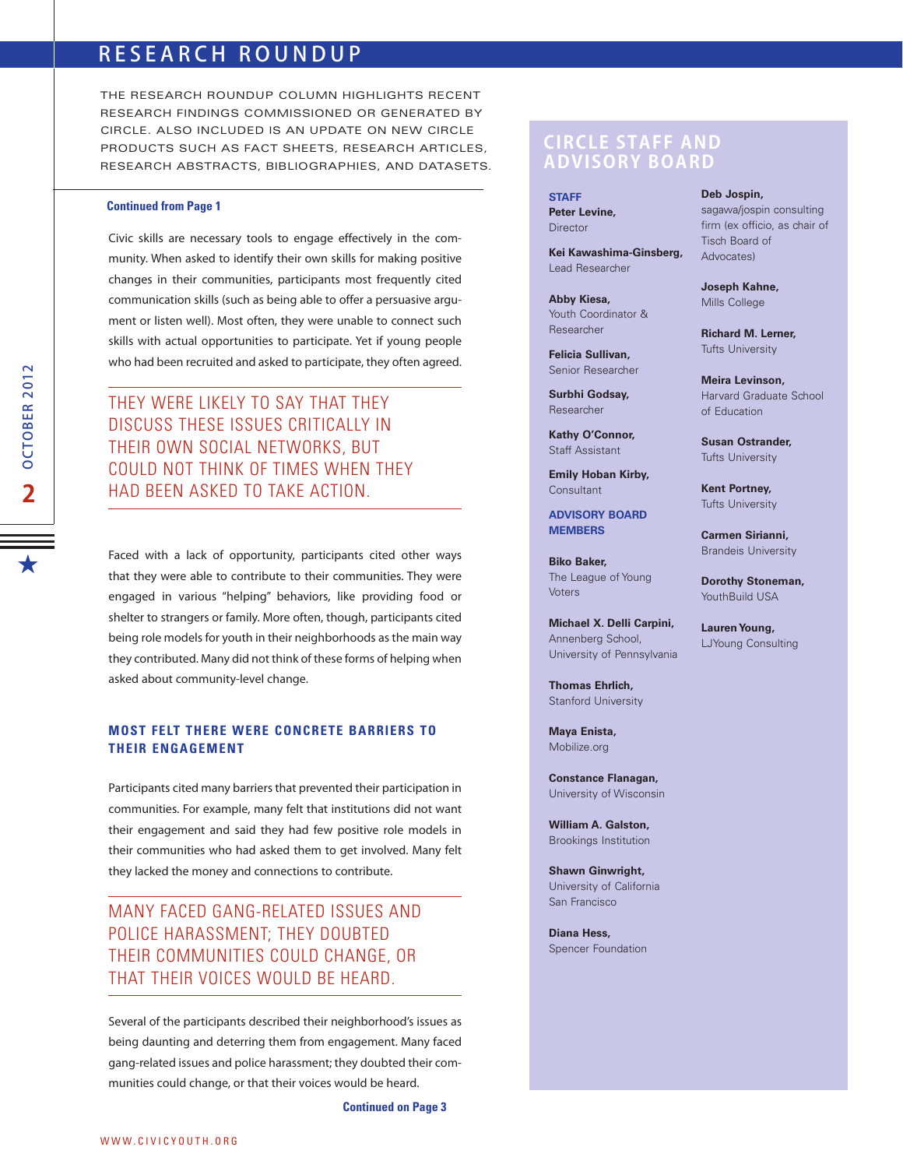# research roundup

The Research Roundup column highlights recent research findings commissioned or generated by CIRCLE. Also included is an update on new CIRCLE products such as Fact Sheets, Research Articles, Research Abstracts, Bibliographies, and Datasets.

#### **Continued from Page 1**

Civic skills are necessary tools to engage effectively in the community. When asked to identify their own skills for making positive changes in their communities, participants most frequently cited communication skills (such as being able to offer a persuasive argument or listen well). Most often, they were unable to connect such skills with actual opportunities to participate. Yet if young people who had been recruited and asked to participate, they often agreed.

They were likely to say that they discuss these issues critically in their own social networks, but could not think of times when they had been asked to take action.

Faced with a lack of opportunity, participants cited other ways that they were able to contribute to their communities. They were engaged in various "helping" behaviors, like providing food or shelter to strangers or family. More often, though, participants cited being role models for youth in their neighborhoods as the main way they contributed. Many did not think of these forms of helping when asked about community-level change.

## **Most Felt There Were Concrete Barriers to Their Engagement**

Participants cited many barriers that prevented their participation in communities. For example, many felt that institutions did not want their engagement and said they had few positive role models in their communities who had asked them to get involved. Many felt they lacked the money and connections to contribute.

Many faced gang-related issues and police harassment; they doubted their communities could change, or that their voices would be heard.

Several of the participants described their neighborhood's issues as being daunting and deterring them from engagement. Many faced gang-related issues and police harassment; they doubted their communities could change, or that their voices would be heard.

# **circle staff and advisory board**

**STAFF Peter Levine, Director** 

**Kei Kawashima-Ginsberg,** Lead Researcher

**Abby Kiesa,** Youth Coordinator & Researcher

**Felicia Sullivan,** Senior Researcher

**Surbhi Godsay,** Researcher

**Kathy O'Connor,**  Staff Assistant

**Emily Hoban Kirby, Consultant** 

**ADVISORY BOARD MEMBERS**

**Biko Baker,** The League of Young Voters

**Michael X. Delli Carpini,** Annenberg School, University of Pennsylvania

**Thomas Ehrlich,** Stanford University

**Maya Enista,** Mobilize.org

**Constance Flanagan,** University of Wisconsin

**William A. Galston,** Brookings Institution

**Shawn Ginwright,** University of California San Francisco

**Diana Hess,** Spencer Foundation **Deb Jospin,** sagawa/jospin consulting firm (ex officio, as chair of

Tisch Board of Advocates)

**Joseph Kahne,** Mills College

**Richard M. Lerner,** Tufts University

**Meira Levinson,** Harvard Graduate School of Education

**Susan Ostrander,** Tufts University

**Kent Portney,** Tufts University

**Carmen Sirianni,** Brandeis University

**Dorothy Stoneman,** YouthBuild USA

**Lauren Young,** LJYoung Consulting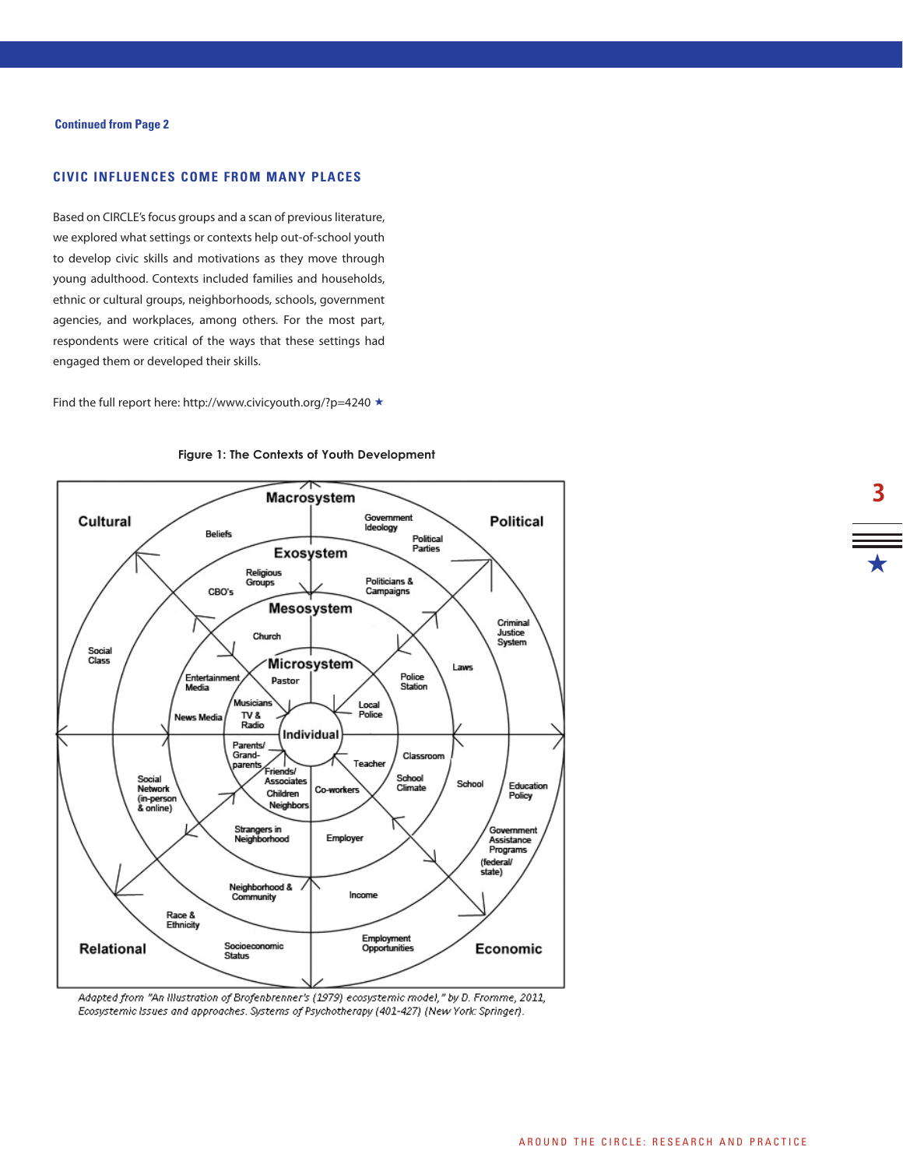#### **Continued from Page 2**

### **Civic Influences Come from Many Places**

Based on CIRCLE's focus groups and a scan of previous literature, we explored what settings or contexts help out-of-school youth to develop civic skills and motivations as they move through young adulthood. Contexts included families and households, ethnic or cultural groups, neighborhoods, schools, government agencies, and workplaces, among others. For the most part, respondents were critical of the ways that these settings had engaged them or developed their skills.

Find the full report here: http://www.civicyouth.org/?p=4240 ★





Adapted from "An Illustration of Brofenbrenner's (1979) ecosystemic model," by D. Fromme, 2011, Ecosystemic Issues and approaches. Systems of Psychotherapy (401-427) (New York: Springer).

 $\star$ **3**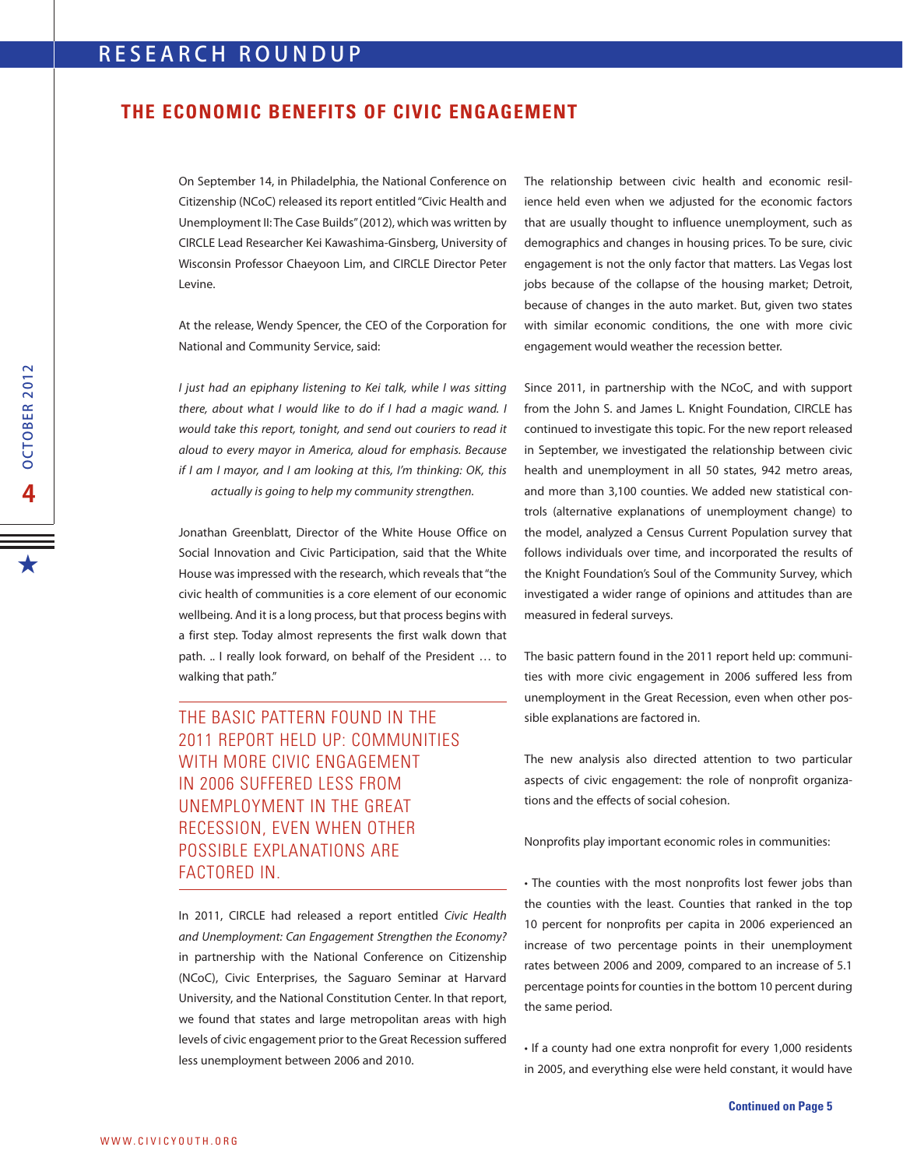# **the economic benefits of civic engagement**

On September 14, in Philadelphia, the National Conference on Citizenship (NCoC) released its report entitled "Civic Health and Unemployment II: The Case Builds" (2012), which was written by CIRCLE Lead Researcher Kei Kawashima-Ginsberg, University of Wisconsin Professor Chaeyoon Lim, and CIRCLE Director Peter Levine.

At the release, Wendy Spencer, the CEO of the Corporation for National and Community Service, said:

*I just had an epiphany listening to Kei talk, while I was sitting there, about what I would like to do if I had a magic wand. I would take this report, tonight, and send out couriers to read it aloud to every mayor in America, aloud for emphasis. Because if I am I mayor, and I am looking at this, I'm thinking: OK, this actually is going to help my community strengthen.*

Jonathan Greenblatt, Director of the White House Office on Social Innovation and Civic Participation, said that the White House was impressed with the research, which reveals that "the civic health of communities is a core element of our economic wellbeing. And it is a long process, but that process begins with a first step. Today almost represents the first walk down that path. .. I really look forward, on behalf of the President … to walking that path."

# The basic pattern found in the 2011 report held up: communities WITH MORE CIVIC ENGAGEMENT in 2006 suffered less from unemployment in the Great Recession, even when other possible explanations are factored in.

In 2011, CIRCLE had released a report entitled *Civic Health and Unemployment: Can Engagement Strengthen the Economy?*  in partnership with the National Conference on Citizenship (NCoC), Civic Enterprises, the Saguaro Seminar at Harvard University, and the National Constitution Center. In that report, we found that states and large metropolitan areas with high levels of civic engagement prior to the Great Recession suffered less unemployment between 2006 and 2010.

The relationship between civic health and economic resilience held even when we adjusted for the economic factors that are usually thought to influence unemployment, such as demographics and changes in housing prices. To be sure, civic engagement is not the only factor that matters. Las Vegas lost jobs because of the collapse of the housing market; Detroit, because of changes in the auto market. But, given two states with similar economic conditions, the one with more civic engagement would weather the recession better.

Since 2011, in partnership with the NCoC, and with support from the John S. and James L. Knight Foundation, CIRCLE has continued to investigate this topic. For the new report released in September, we investigated the relationship between civic health and unemployment in all 50 states, 942 metro areas, and more than 3,100 counties. We added new statistical controls (alternative explanations of unemployment change) to the model, analyzed a Census Current Population survey that follows individuals over time, and incorporated the results of the Knight Foundation's Soul of the Community Survey, which investigated a wider range of opinions and attitudes than are measured in federal surveys.

The basic pattern found in the 2011 report held up: communities with more civic engagement in 2006 suffered less from unemployment in the Great Recession, even when other possible explanations are factored in.

The new analysis also directed attention to two particular aspects of civic engagement: the role of nonprofit organizations and the effects of social cohesion.

Nonprofits play important economic roles in communities:

• The counties with the most nonprofits lost fewer jobs than the counties with the least. Counties that ranked in the top 10 percent for nonprofits per capita in 2006 experienced an increase of two percentage points in their unemployment rates between 2006 and 2009, compared to an increase of 5.1 percentage points for counties in the bottom 10 percent during the same period.

• If a county had one extra nonprofit for every 1,000 residents in 2005, and everything else were held constant, it would have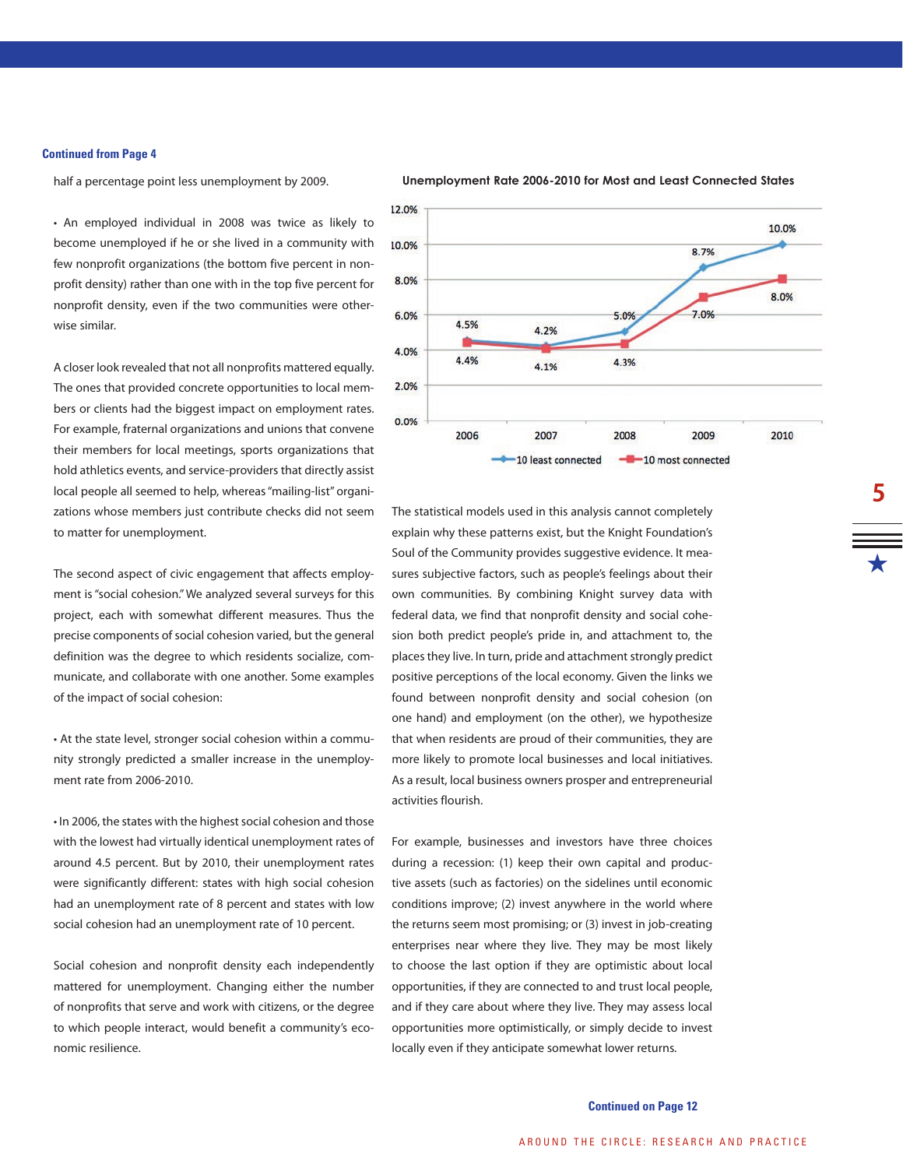#### **Continued from Page 4**

half a percentage point less unemployment by 2009.

• An employed individual in 2008 was twice as likely to become unemployed if he or she lived in a community with few nonprofit organizations (the bottom five percent in nonprofit density) rather than one with in the top five percent for nonprofit density, even if the two communities were otherwise similar.

A closer look revealed that not all nonprofits mattered equally. The ones that provided concrete opportunities to local members or clients had the biggest impact on employment rates. For example, fraternal organizations and unions that convene their members for local meetings, sports organizations that hold athletics events, and service-providers that directly assist local people all seemed to help, whereas "mailing-list" organizations whose members just contribute checks did not seem to matter for unemployment.

The second aspect of civic engagement that affects employment is "social cohesion." We analyzed several surveys for this project, each with somewhat different measures. Thus the precise components of social cohesion varied, but the general definition was the degree to which residents socialize, communicate, and collaborate with one another. Some examples of the impact of social cohesion:

• At the state level, stronger social cohesion within a community strongly predicted a smaller increase in the unemployment rate from 2006-2010.

• In 2006, the states with the highest social cohesion and those with the lowest had virtually identical unemployment rates of around 4.5 percent. But by 2010, their unemployment rates were significantly different: states with high social cohesion had an unemployment rate of 8 percent and states with low social cohesion had an unemployment rate of 10 percent.

Social cohesion and nonprofit density each independently mattered for unemployment. Changing either the number of nonprofits that serve and work with citizens, or the degree to which people interact, would benefit a community's economic resilience.



#### **Unemployment Rate 2006-2010 for Most and Least Connected States**

 $\star$ **5**

The statistical models used in this analysis cannot completely explain why these patterns exist, but the Knight Foundation's Soul of the Community provides suggestive evidence. It measures subjective factors, such as people's feelings about their own communities. By combining Knight survey data with federal data, we find that nonprofit density and social cohesion both predict people's pride in, and attachment to, the places they live. In turn, pride and attachment strongly predict positive perceptions of the local economy. Given the links we found between nonprofit density and social cohesion (on one hand) and employment (on the other), we hypothesize that when residents are proud of their communities, they are more likely to promote local businesses and local initiatives. As a result, local business owners prosper and entrepreneurial activities flourish.

For example, businesses and investors have three choices during a recession: (1) keep their own capital and productive assets (such as factories) on the sidelines until economic conditions improve; (2) invest anywhere in the world where the returns seem most promising; or (3) invest in job-creating enterprises near where they live. They may be most likely to choose the last option if they are optimistic about local opportunities, if they are connected to and trust local people, and if they care about where they live. They may assess local opportunities more optimistically, or simply decide to invest locally even if they anticipate somewhat lower returns.

**Continued on Page 12**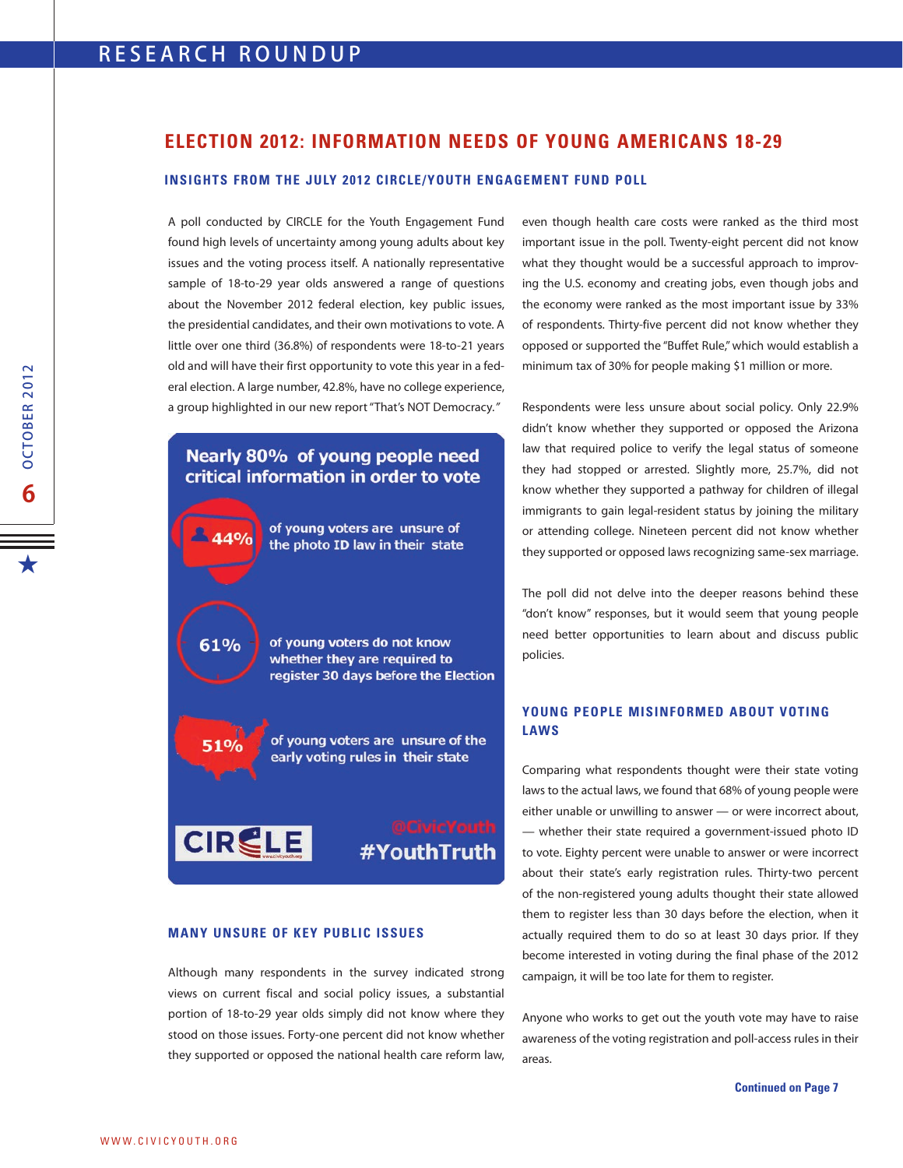# **Election 2012: Information needs of young americans 18-29**

### **Insights from the july 2012 CIRCLE/youth engagement fund poll**

A poll conducted by CIRCLE for the Youth Engagement Fund found high levels of uncertainty among young adults about key issues and the voting process itself. A nationally representative sample of 18-to-29 year olds answered a range of questions about the November 2012 federal election, key public issues, the presidential candidates, and their own motivations to vote. A little over one third (36.8%) of respondents were 18-to-21 years old and will have their first opportunity to vote this year in a federal election. A large number, 42.8%, have no college experience, a group highlighted in our new report "That's NOT Democracy."

# Nearly 80% of young people need critical information in order to vote

of young voters are unsure of  $44%$ the photo ID law in their state 61% of young voters do not know whether they are required to register 30 days before the Election of young voters are unsure of the **51%** early voting rules in their state **CIRCLE** #YouthTruth

## **Many Unsure of Key Public Issues**

Although many respondents in the survey indicated strong views on current fiscal and social policy issues, a substantial portion of 18-to-29 year olds simply did not know where they stood on those issues. Forty-one percent did not know whether they supported or opposed the national health care reform law,

even though health care costs were ranked as the third most important issue in the poll. Twenty-eight percent did not know what they thought would be a successful approach to improving the U.S. economy and creating jobs, even though jobs and the economy were ranked as the most important issue by 33% of respondents. Thirty-five percent did not know whether they opposed or supported the "Buffet Rule," which would establish a minimum tax of 30% for people making \$1 million or more.

Respondents were less unsure about social policy. Only 22.9% didn't know whether they supported or opposed the Arizona law that required police to verify the legal status of someone they had stopped or arrested. Slightly more, 25.7%, did not know whether they supported a pathway for children of illegal immigrants to gain legal-resident status by joining the military or attending college. Nineteen percent did not know whether they supported or opposed laws recognizing same-sex marriage.

The poll did not delve into the deeper reasons behind these "don't know" responses, but it would seem that young people need better opportunities to learn about and discuss public policies.

## **Young People Misinformed about Voting Laws**

Comparing what respondents thought were their state voting laws to the actual laws, we found that 68% of young people were either unable or unwilling to answer — or were incorrect about, — whether their state required a government-issued photo ID to vote. Eighty percent were unable to answer or were incorrect about their state's early registration rules. Thirty-two percent of the non-registered young adults thought their state allowed them to register less than 30 days before the election, when it actually required them to do so at least 30 days prior. If they become interested in voting during the final phase of the 2012 campaign, it will be too late for them to register.

Anyone who works to get out the youth vote may have to raise awareness of the voting registration and poll-access rules in their areas.

 $\star$ 

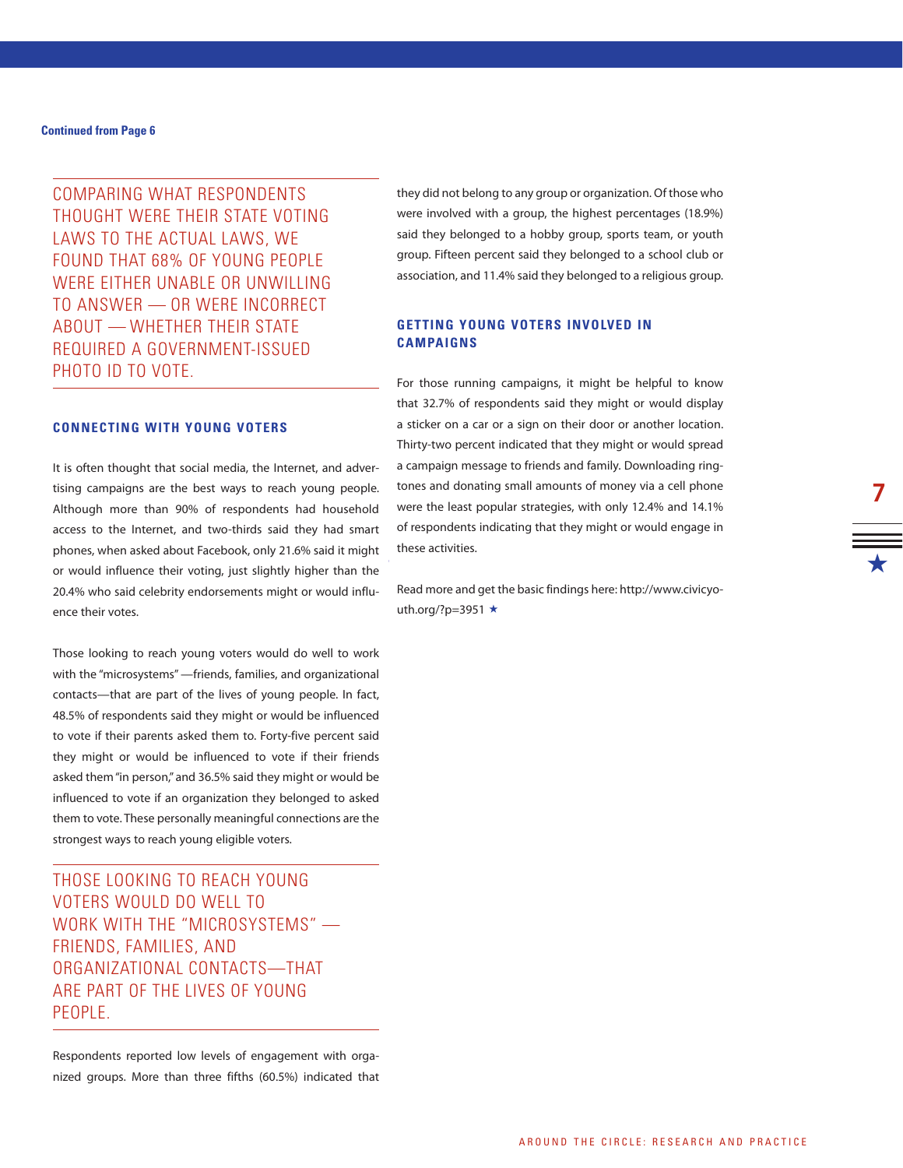Comparing what respondents thought were their state voting laws to the actual laws, we found that 68% of young people were either unable or unwilling to answer — or were incorrect ABOUT — WHETHER THEIR STATE required a government-issued photo ID to vote.

#### **Connecting with Young Voters**

It is often thought that social media, the Internet, and advertising campaigns are the best ways to reach young people. Although more than 90% of respondents had household access to the Internet, and two-thirds said they had smart phones, when asked about Facebook, only 21.6% said it might or would influence their voting, just slightly higher than the 20.4% who said celebrity endorsements might or would influence their votes.

Those looking to reach young voters would do well to work with the "microsystems" —friends, families, and organizational contacts—that are part of the lives of young people. In fact, 48.5% of respondents said they might or would be influenced to vote if their parents asked them to. Forty-five percent said they might or would be influenced to vote if their friends asked them "in person," and 36.5% said they might or would be influenced to vote if an organization they belonged to asked them to vote. These personally meaningful connections are the strongest ways to reach young eligible voters.

Those looking to reach young voters would do well to work with the "microsystems" friends, families, and organizational contacts—that are part of the lives of young people.

Respondents reported low levels of engagement with organized groups. More than three fifths (60.5%) indicated that they did not belong to any group or organization. Of those who were involved with a group, the highest percentages (18.9%) said they belonged to a hobby group, sports team, or youth group. Fifteen percent said they belonged to a school club or association, and 11.4% said they belonged to a religious group.

## **Getting Young Voters Involved in Campaigns**

For those running campaigns, it might be helpful to know that 32.7% of respondents said they might or would display a sticker on a car or a sign on their door or another location. Thirty-two percent indicated that they might or would spread a campaign message to friends and family. Downloading ringtones and donating small amounts of money via a cell phone were the least popular strategies, with only 12.4% and 14.1% of respondents indicating that they might or would engage in these activities.

Read more and get the basic findings here: http://www.civicyouth.org/?p=3951  $\star$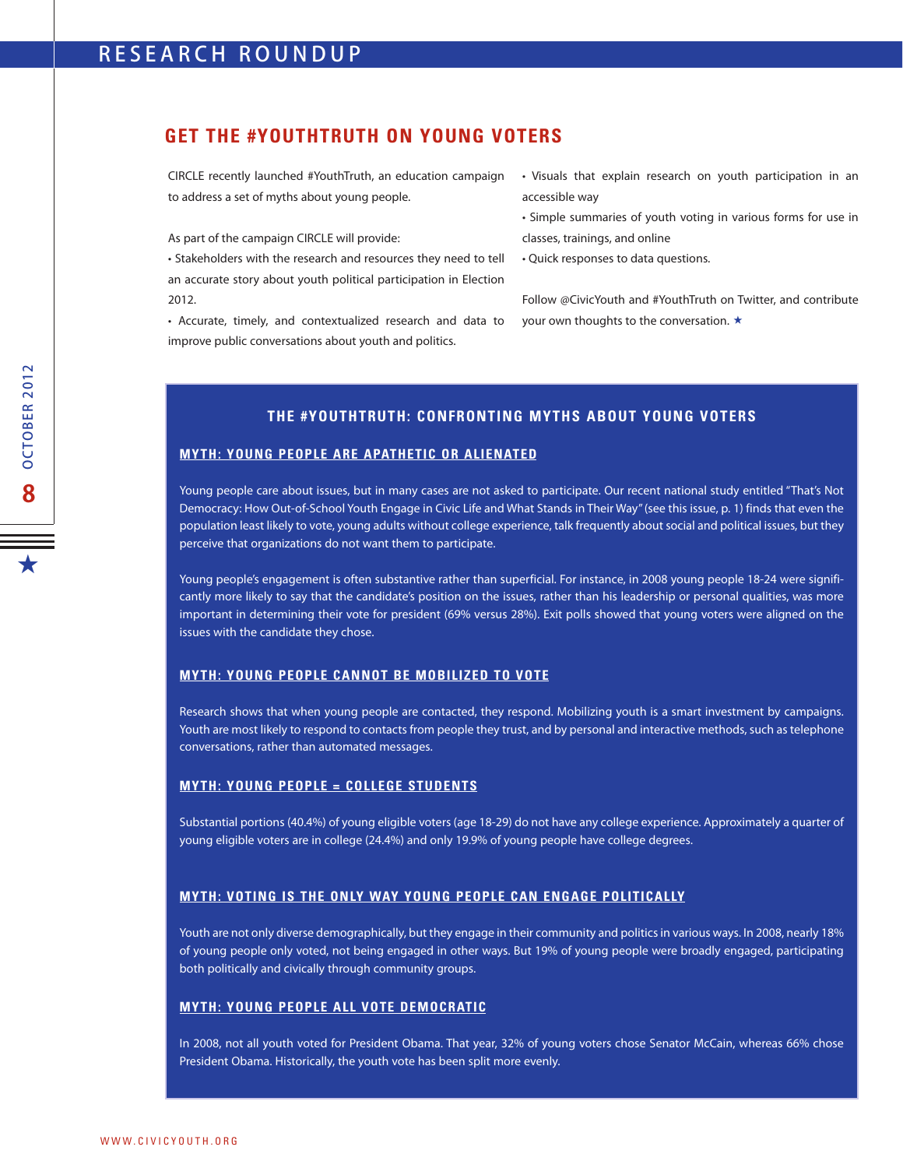# **Get the #YouthTruth on Young voters**

CIRCLE recently launched #YouthTruth, an education campaign to address a set of myths about young people.

As part of the campaign CIRCLE will provide:

• Stakeholders with the research and resources they need to tell an accurate story about youth political participation in Election 2012.

• Accurate, timely, and contextualized research and data to improve public conversations about youth and politics.

• Visuals that explain research on youth participation in an accessible way

- Simple summaries of youth voting in various forms for use in classes, trainings, and online
- Quick responses to data questions.

Follow @CivicYouth and #YouthTruth on Twitter, and contribute your own thoughts to the conversation.  $\star$ 

## **The #YouthTruth: Confronting myths about young voteRs**

## **Myth: Young people are apathetic or alienated**

Young people care about issues, but in many cases are not asked to participate. Our recent national study entitled "That's Not Democracy: How Out-of-School Youth Engage in Civic Life and What Stands in Their Way" (see this issue, p. 1) finds that even the population least likely to vote, young adults without college experience, talk frequently about social and political issues, but they perceive that organizations do not want them to participate.

Young people's engagement is often substantive rather than superficial. For instance, in 2008 young people 18-24 were significantly more likely to say that the candidate's position on the issues, rather than his leadership or personal qualities, was more important in determining their vote for president (69% versus 28%). Exit polls showed that young voters were aligned on the issues with the candidate they chose.

### **Myth: Young people cannot be mobilized to vote**

Research shows that when young people are contacted, they respond. Mobilizing youth is a smart investment by campaigns. Youth are most likely to respond to contacts from people they trust, and by personal and interactive methods, such as telephone conversations, rather than automated messages.

### **MYTH: YOUNG PEOPLE = COLLEGE STUDENTS**

Substantial portions (40.4%) of young eligible voters (age 18-29) do not have any college experience. Approximately a quarter of young eligible voters are in college (24.4%) and only 19.9% of young people have college degrees.

### **MYTH: VOTING IS THE ONLY WAY YOUNG PEOPLE CAN ENGAGE POLITICALLY**

Youth are not only diverse demographically, but they engage in their community and politics in various ways. In 2008, nearly 18% of young people only voted, not being engaged in other ways. But 19% of young people were broadly engaged, participating both politically and civically through community groups.

## **MYTH: YOUNG PEOPLE ALL VOTE DEMOCRATIC**

In 2008, not all youth voted for President Obama. That year, 32% of young voters chose Senator McCain, whereas 66% chose President Obama. Historically, the youth vote has been split more evenly.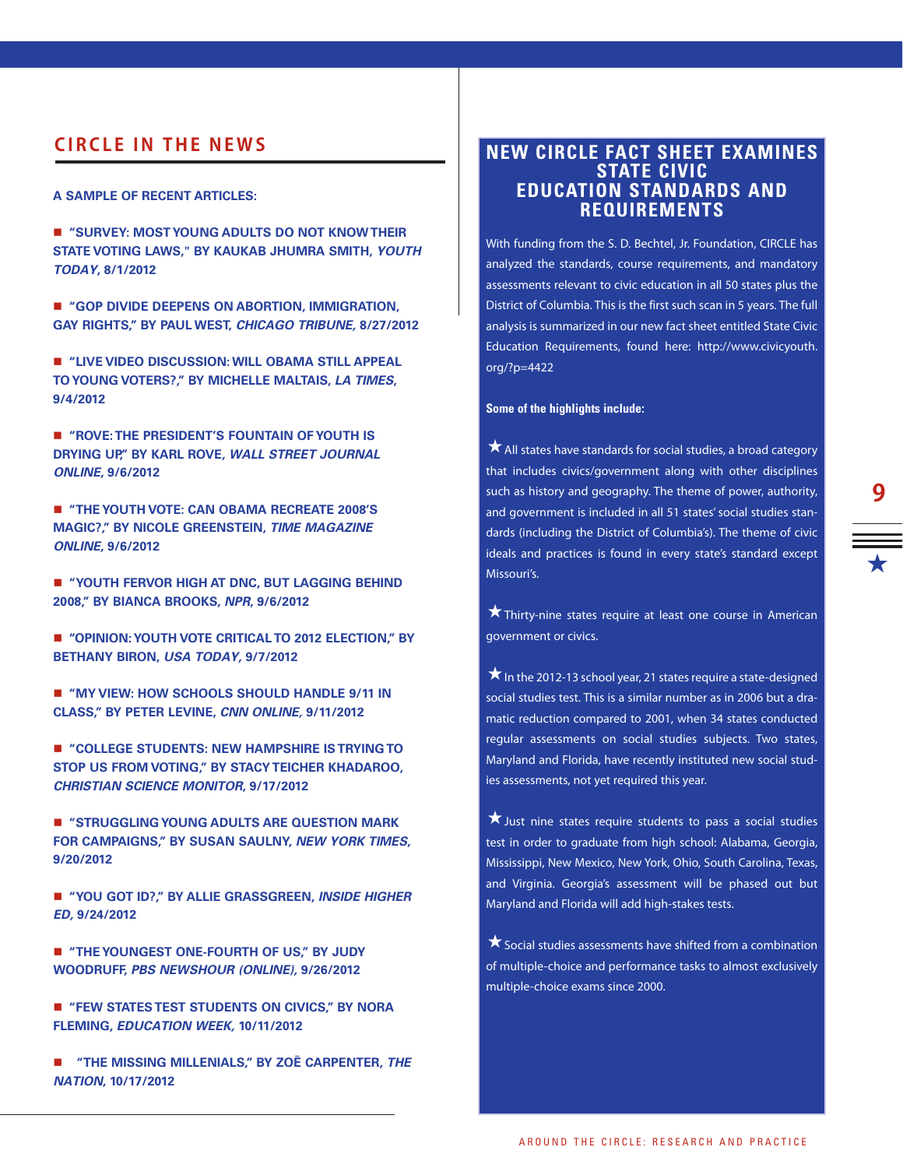**A sample of recent articles:** 

n **"survey: mostyoung adults do not knowtheir state voting laws," by kaukab jhumra smith,** *youth today***, 8/1/2012**

n **"gop divide deepens on abortion, immigration, gay rights," by paul west,** *chicago tribune,* **8/27/2012**

n **"live video discussion: will obama still appeal to young voters?," by michelle maltais,** *la times***, 9/4/2012**

n **"rove: the president's fountain ofyouth is drying up," by karl rove,** *wall street journal online***, 9/6/2012**

n **"theyouth vote: can obama recreate 2008's magic?," by nicole greenstein,** *time magazine online***, 9/6/2012**

n **"youth fervor high at dnc, but lagging behind 2008," by bianca brooks,** *npr***, 9/6/2012**

■ "OPINION: YOUTH VOTE CRITICAL TO 2012 ELECTION." BY **bethany biron,** *usa today,* **9/7/2012**

n **"my view: how schools should handle 9/11 in class," by peter levine,** *CNN online,* **9/11/2012**

n **"college students: new hampshire istrying to stop us from voting," by stacyteicher khadaroo,**  *christian science monitor***, 9/17/2012**

n **"struggling young adults are question mark for campaigns," by susan saulny,** *new york times***, 9/20/2012**

n **"you got id?," by allie grassgreen,** *Inside higher ed,* **9/24/2012**

n **"theyoungest one-fourth of us," by judy woodruff,** *pbs Newshour (online),* **9/26/2012**

n **"Few Statestest students on civics," by nora fleming,** *education week,* **10/11/2012**

n **"The missing Millenials," by Zoë Carpenter,** *The Nation***, 10/17/2012**

# **circle in the news NEW CIRCLE FAct sheet examines STATE CIVIC education standards and requirements**

With funding from the S. D. Bechtel, Jr. Foundation, CIRCLE has analyzed the standards, course requirements, and mandatory assessments relevant to civic education in all 50 states plus the District of Columbia. This is the first such scan in 5 years. The full analysis is summarized in our new fact sheet entitled State Civic Education Requirements, found here: http://www.civicyouth. org/?p=4422

### **Some of the highlights include:**

 $\star$  All states have standards for social studies, a broad category that includes civics/government along with other disciplines such as history and geography. The theme of power, authority, and government is included in all 51 states' social studies standards (including the District of Columbia's). The theme of civic ideals and practices is found in every state's standard except Missouri's.

 $\star$  Thirty-nine states require at least one course in American government or civics.

 $\star$  In the 2012-13 school year, 21 states require a state-designed social studies test. This is a similar number as in 2006 but a dramatic reduction compared to 2001, when 34 states conducted regular assessments on social studies subjects. Two states, Maryland and Florida, have recently instituted new social studies assessments, not yet required this year.

 $\star$  Just nine states require students to pass a social studies test in order to graduate from high school: Alabama, Georgia, Mississippi, New Mexico, New York, Ohio, South Carolina, Texas, and Virginia. Georgia's assessment will be phased out but Maryland and Florida will add high-stakes tests.

 $\bigstar$  Social studies assessments have shifted from a combination of multiple-choice and performance tasks to almost exclusively multiple-choice exams since 2000.

 $\star$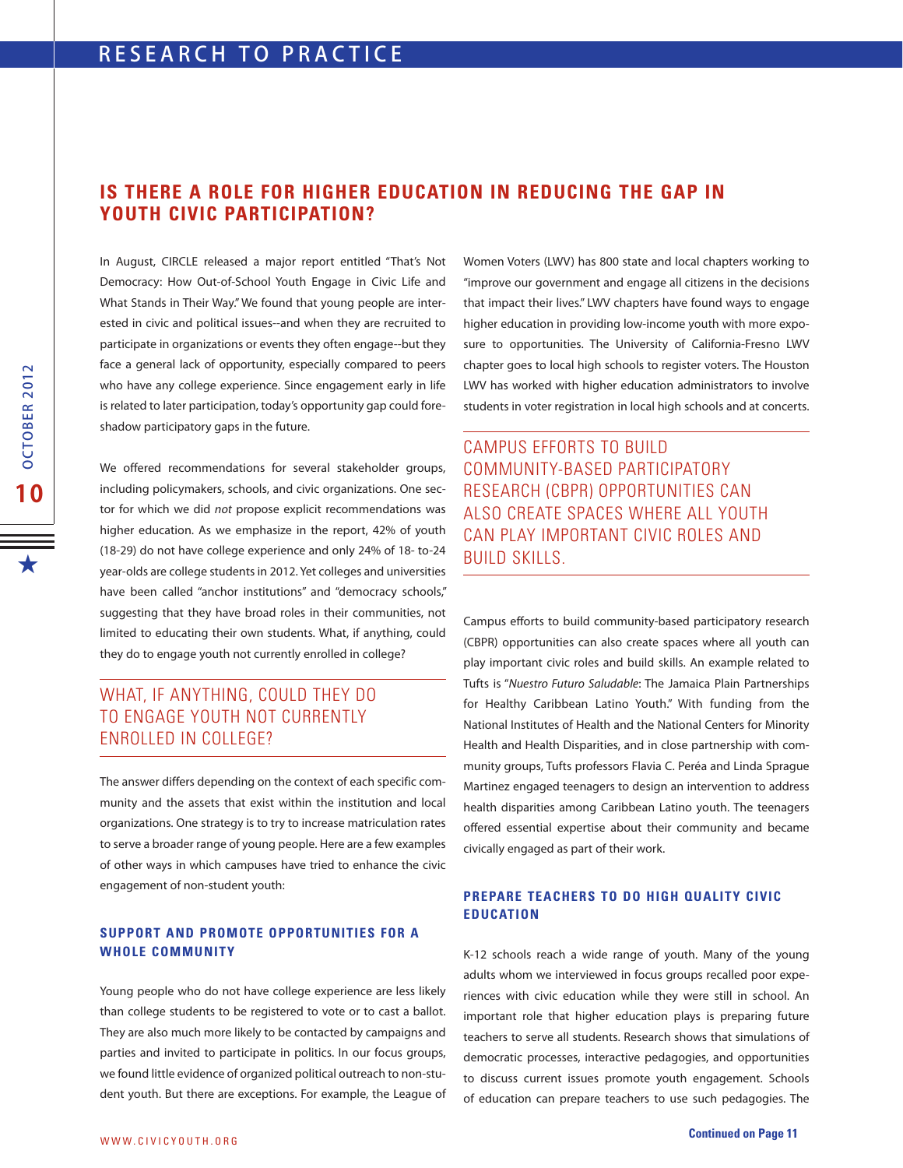# **Is there a role for higher education in reducing the gap in youth civic participation?**

In August, CIRCLE released a major report entitled "That's Not Democracy: How Out-of-School Youth Engage in Civic Life and What Stands in Their Way." We found that young people are interested in civic and political issues--and when they are recruited to participate in organizations or events they often engage--but they face a general lack of opportunity, especially compared to peers who have any college experience. Since engagement early in life is related to later participation, today's opportunity gap could foreshadow participatory gaps in the future.

We offered recommendations for several stakeholder groups, including policymakers, schools, and civic organizations. One sector for which we did *not* propose explicit recommendations was higher education. As we emphasize in the report, 42% of youth (18-29) do not have college experience and only 24% of 18- to-24 year-olds are college students in 2012. Yet colleges and universities have been called "anchor institutions" and "democracy schools," suggesting that they have broad roles in their communities, not limited to educating their own students. What, if anything, could they do to engage youth not currently enrolled in college?

# What, if anything, could they do to engage youth not currently enrolled in college?

The answer differs depending on the context of each specific community and the assets that exist within the institution and local organizations. One strategy is to try to increase matriculation rates to serve a broader range of young people. Here are a few examples of other ways in which campuses have tried to enhance the civic engagement of non-student youth:

## **Support and Promote Opportunities for a Whole Community**

Young people who do not have college experience are less likely than college students to be registered to vote or to cast a ballot. They are also much more likely to be contacted by campaigns and parties and invited to participate in politics. In our focus groups, we found little evidence of organized political outreach to non-student youth. But there are exceptions. For example, the League of Women Voters (LWV) has 800 state and local chapters working to "improve our government and engage all citizens in the decisions that impact their lives." LWV chapters have found ways to engage higher education in providing low-income youth with more exposure to opportunities. The University of California-Fresno LWV chapter goes to local high schools to register voters. The Houston LWV has worked with higher education administrators to involve students in voter registration in local high schools and at concerts.

Campus efforts to build community-based participatory research (CBPR) opportunities can also create spaces where all youth can play important civic roles and build skills.

Campus efforts to build community-based participatory research (CBPR) opportunities can also create spaces where all youth can play important civic roles and build skills. An example related to Tufts is "*Nuestro Futuro Saludable*: The Jamaica Plain Partnerships for Healthy Caribbean Latino Youth." With funding from the National Institutes of Health and the National Centers for Minority Health and Health Disparities, and in close partnership with community groups, Tufts professors Flavia C. Peréa and Linda Sprague Martinez engaged teenagers to design an intervention to address health disparities among Caribbean Latino youth. The teenagers offered essential expertise about their community and became civically engaged as part of their work.

## **Prepare Teachers to do High Quality Civic Education**

K-12 schools reach a wide range of youth. Many of the young adults whom we interviewed in focus groups recalled poor experiences with civic education while they were still in school. An important role that higher education plays is preparing future teachers to serve all students. Research shows that simulations of democratic processes, interactive pedagogies, and opportunities to discuss current issues promote youth engagement. Schools of education can prepare teachers to use such pedagogies. The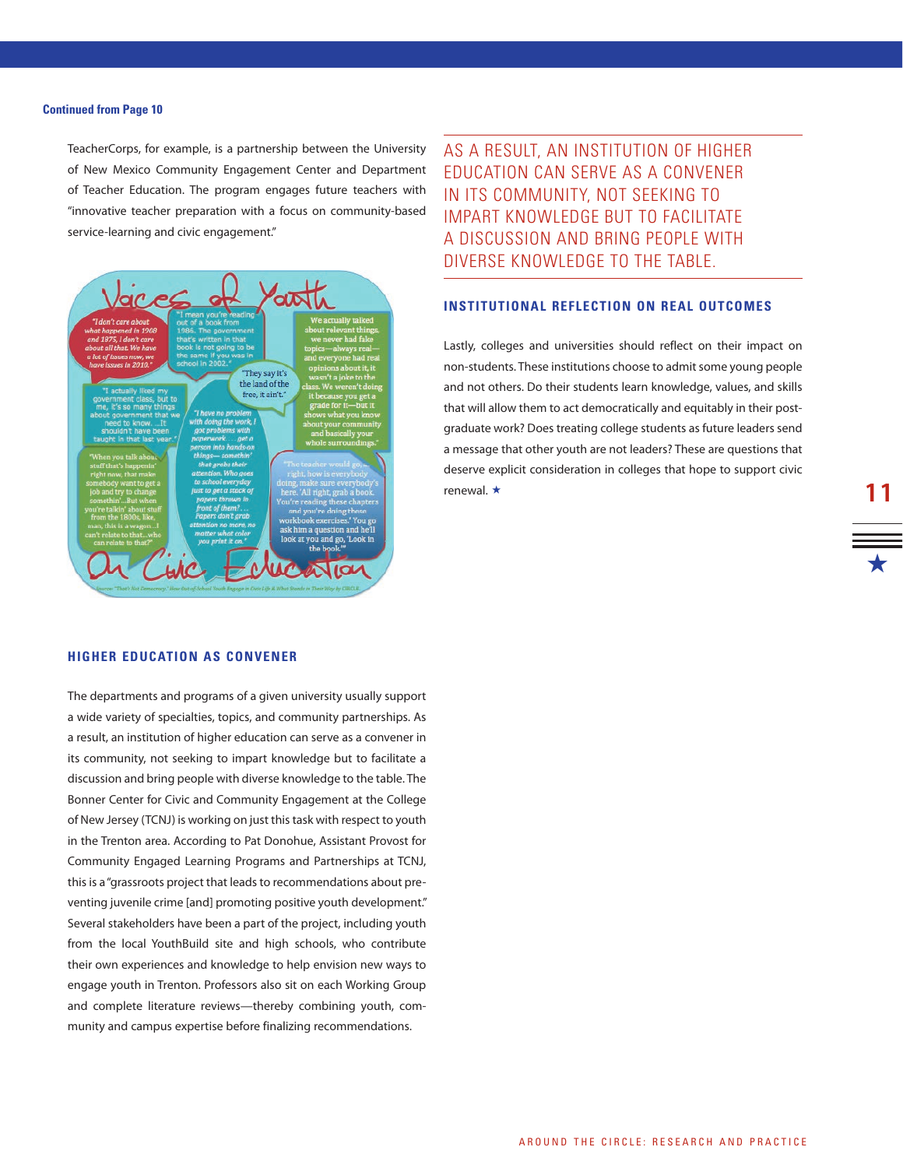#### **Continued from Page 10**

TeacherCorps, for example, is a partnership between the University of New Mexico Community Engagement Center and Department of Teacher Education. The program engages future teachers with "innovative teacher preparation with a focus on community-based service-learning and civic engagement."



As a result, an institution of higher education can serve as a convener in its community, not seeking to impart knowledge but to facilitate a discussion and bring people with diverse knowledge to the table.

#### **Institutional Reflection on Real Outcomes**

Lastly, colleges and universities should reflect on their impact on non-students. These institutions choose to admit some young people and not others. Do their students learn knowledge, values, and skills that will allow them to act democratically and equitably in their postgraduate work? Does treating college students as future leaders send a message that other youth are not leaders? These are questions that deserve explicit consideration in colleges that hope to support civic renewal.  $\star$ 

 $\star$ 

**11**

## **Higher Education as Convener**

The departments and programs of a given university usually support a wide variety of specialties, topics, and community partnerships. As a result, an institution of higher education can serve as a convener in its community, not seeking to impart knowledge but to facilitate a discussion and bring people with diverse knowledge to the table. The Bonner Center for Civic and Community Engagement at the College of New Jersey (TCNJ) is working on just this task with respect to youth in the Trenton area. According to Pat Donohue, Assistant Provost for Community Engaged Learning Programs and Partnerships at TCNJ, this is a "grassroots project that leads to recommendations about preventing juvenile crime [and] promoting positive youth development." Several stakeholders have been a part of the project, including youth from the local YouthBuild site and high schools, who contribute their own experiences and knowledge to help envision new ways to engage youth in Trenton. Professors also sit on each Working Group and complete literature reviews—thereby combining youth, community and campus expertise before finalizing recommendations.